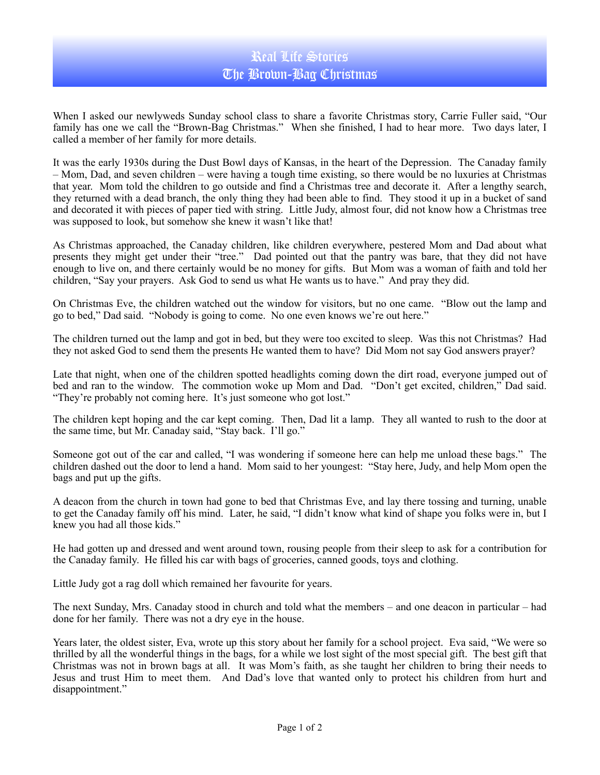## Real Life Stories The Brown-Bag Christmas

When I asked our newlyweds Sunday school class to share a favorite Christmas story, Carrie Fuller said, "Our family has one we call the "Brown-Bag Christmas." When she finished, I had to hear more. Two days later, I called a member of her family for more details.

It was the early 1930s during the Dust Bowl days of Kansas, in the heart of the Depression. The Canaday family – Mom, Dad, and seven children – were having a tough time existing, so there would be no luxuries at Christmas that year. Mom told the children to go outside and find a Christmas tree and decorate it. After a lengthy search, they returned with a dead branch, the only thing they had been able to find. They stood it up in a bucket of sand and decorated it with pieces of paper tied with string. Little Judy, almost four, did not know how a Christmas tree was supposed to look, but somehow she knew it wasn't like that!

As Christmas approached, the Canaday children, like children everywhere, pestered Mom and Dad about what presents they might get under their "tree." Dad pointed out that the pantry was bare, that they did not have enough to live on, and there certainly would be no money for gifts. But Mom was a woman of faith and told her children, "Say your prayers. Ask God to send us what He wants us to have." And pray they did.

On Christmas Eve, the children watched out the window for visitors, but no one came. "Blow out the lamp and go to bed," Dad said. "Nobody is going to come. No one even knows we're out here."

The children turned out the lamp and got in bed, but they were too excited to sleep. Was this not Christmas? Had they not asked God to send them the presents He wanted them to have? Did Mom not say God answers prayer?

Late that night, when one of the children spotted headlights coming down the dirt road, everyone jumped out of bed and ran to the window. The commotion woke up Mom and Dad. "Don't get excited, children," Dad said. "They're probably not coming here. It's just someone who got lost."

The children kept hoping and the car kept coming. Then, Dad lit a lamp. They all wanted to rush to the door at the same time, but Mr. Canaday said, "Stay back. I'll go."

Someone got out of the car and called, "I was wondering if someone here can help me unload these bags." The children dashed out the door to lend a hand. Mom said to her youngest: "Stay here, Judy, and help Mom open the bags and put up the gifts.

A deacon from the church in town had gone to bed that Christmas Eve, and lay there tossing and turning, unable to get the Canaday family off his mind. Later, he said, "I didn't know what kind of shape you folks were in, but I knew you had all those kids."

He had gotten up and dressed and went around town, rousing people from their sleep to ask for a contribution for the Canaday family. He filled his car with bags of groceries, canned goods, toys and clothing.

Little Judy got a rag doll which remained her favourite for years.

The next Sunday, Mrs. Canaday stood in church and told what the members – and one deacon in particular – had done for her family. There was not a dry eye in the house.

Years later, the oldest sister, Eva, wrote up this story about her family for a school project. Eva said, "We were so thrilled by all the wonderful things in the bags, for a while we lost sight of the most special gift. The best gift that Christmas was not in brown bags at all. It was Mom's faith, as she taught her children to bring their needs to Jesus and trust Him to meet them. And Dad's love that wanted only to protect his children from hurt and disappointment."